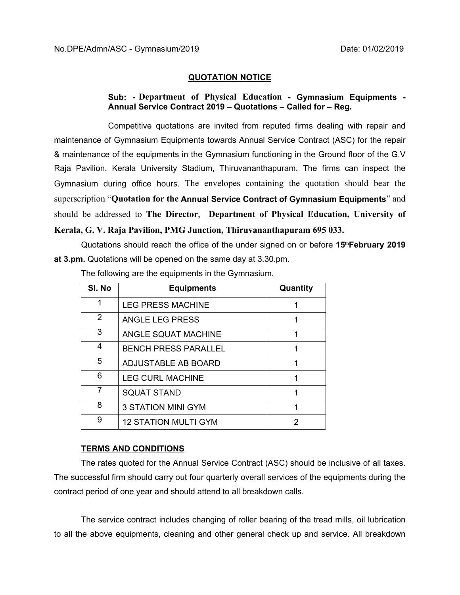## **QUOTATION NOTICE**

## **Sub: - Department of Physical Education - Gymnasium Equipments - Annual Service Contract 2019 – Quotations – Called for – Reg.**

Competitive quotations are invited from reputed firms dealing with repair and maintenance of Gymnasium Equipments towards Annual Service Contract (ASC) for the repair & maintenance of the equipments in the Gymnasium functioning in the Ground floor of the G.V Raja Pavilion, Kerala University Stadium, Thiruvananthapuram. The firms can inspect the Gymnasium during office hours. The envelopes containing the quotation should bear the superscription "**Quotation for the Annual Service Contract of Gymnasium Equipments**" and should be addressed to **The Director**, **Department of Physical Education, University of Kerala, G. V. Raja Pavilion, PMG Junction, Thiruvananthapuram 695 033.** 

Quotations should reach the office of the under signed on or before **15thFebruary 2019 at 3.pm.** Quotations will be opened on the same day at 3.30.pm.

| SI. No | <b>Equipments</b>           | Quantity |
|--------|-----------------------------|----------|
| 1      | <b>LEG PRESS MACHINE</b>    |          |
| 2      | ANGLE LEG PRESS             |          |
| 3      | ANGLE SQUAT MACHINE         |          |
| 4      | <b>BENCH PRESS PARALLEL</b> |          |
| 5      | ADJUSTABLE AB BOARD         |          |
| 6      | <b>LEG CURL MACHINE</b>     |          |
| 7      | <b>SQUAT STAND</b>          |          |
| 8      | <b>3 STATION MINI GYM</b>   |          |
| 9      | <b>12 STATION MULTI GYM</b> | 2        |

The following are the equipments in the Gymnasium.

## **TERMS AND CONDITIONS**

The rates quoted for the Annual Service Contract (ASC) should be inclusive of all taxes. The successful firm should carry out four quarterly overall services of the equipments during the contract period of one year and should attend to all breakdown calls.

The service contract includes changing of roller bearing of the tread mills, oil lubrication to all the above equipments, cleaning and other general check up and service. All breakdown